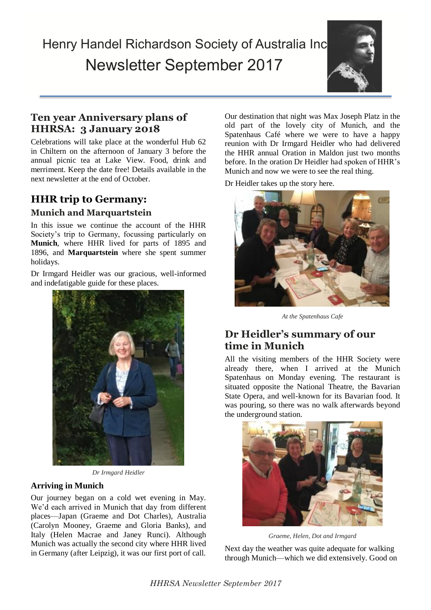# Henry Handel Richardson Society of Australia Inc. Newsletter September 2017



## **Ten year Anniversary plans of HHRSA: 3 January 2018**

Celebrations will take place at the wonderful Hub 62 in Chiltern on the afternoon of January 3 before the annual picnic tea at Lake View. Food, drink and merriment. Keep the date free! Details available in the next newsletter at the end of October.

## **HHR trip to Germany:**

#### **Munich and Marquartstein**

In this issue we continue the account of the HHR Society's trip to Germany, focussing particularly on **Munich**, where HHR lived for parts of 1895 and 1896, and **Marquartstein** where she spent summer holidays.

Dr Irmgard Heidler was our gracious, well-informed and indefatigable guide for these places.



*Dr Irmgard Heidler*

#### **Arriving in Munich**

Our journey began on a cold wet evening in May. We'd each arrived in Munich that day from different places—Japan (Graeme and Dot Charles), Australia (Carolyn Mooney, Graeme and Gloria Banks), and Italy (Helen Macrae and Janey Runci). Although Munich was actually the second city where HHR lived in Germany (after Leipzig), it was our first port of call.

Our destination that night was Max Joseph Platz in the old part of the lovely city of Munich, and the Spatenhaus Café where we were to have a happy reunion with Dr Irmgard Heidler who had delivered the HHR annual Oration in Maldon just two months before. In the oration Dr Heidler had spoken of HHR's Munich and now we were to see the real thing.

Dr Heidler takes up the story here.



*At the Spatenhaus Cafe*

#### **Dr Heidler's summary of our time in Munich**

All the visiting members of the HHR Society were already there, when I arrived at the Munich Spatenhaus on Monday evening. The restaurant is situated opposite the National Theatre, the Bavarian State Opera, and well-known for its Bavarian food. It was pouring, so there was no walk afterwards beyond the underground station.



*Graeme, Helen, Dot and Irmgard*

Next day the weather was quite adequate for walking through Munich—which we did extensively. Good on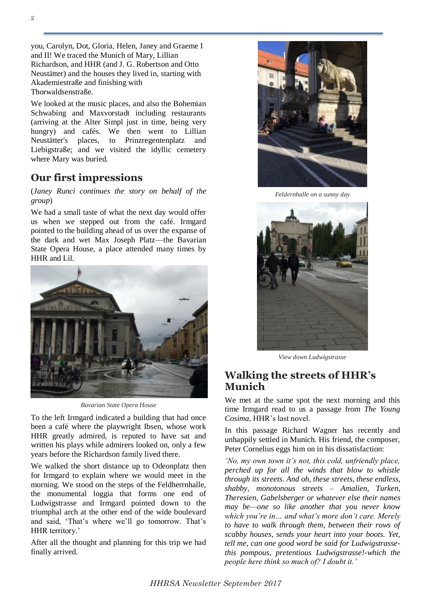you, Carolyn, Dot, Gloria, Helen, Janey and Graeme I and II! We traced the Munich of Mary, Lillian Richardson, and HHR (and J. G. Robertson and Otto Neustätter) and the houses they lived in, starting with Akademiestraße and finishing with Thorwaldsenstraße.

We looked at the music places, and also the Bohemian Schwabing and Maxvorstadt including restaurants (arriving at the Alter Simpl just in time, being very hungry) and cafés. We then went to Lillian Neustätter's places, to Prinzregentenplatz and Liebigstraße; and we visited the idyllic cemetery where Mary was buried.

#### **Our first impressions**

(*Janey Runci continues the story on behalf of the group*)

We had a small taste of what the next day would offer us when we stepped out from the café. Irmgard pointed to the building ahead of us over the expanse of the dark and wet Max Joseph Platz—the Bavarian State Opera House, a place attended many times by HHR and Lil.



*Bavarian State Opera House* 

To the left Irmgard indicated a building that had once been a café where the playwright Ibsen, whose work HHR greatly admired, is reputed to have sat and written his plays while admirers looked on, only a few years before the Richardson family lived there.

We walked the short distance up to Odeonplatz then for Irmgard to explain where we would meet in the morning. We stood on the steps of the Feldherrnhalle, the monumental loggia that forms one end of Ludwigstrasse and Irmgard pointed down to the triumphal arch at the other end of the wide boulevard and said, 'That's where we'll go tomorrow. That's HHR territory.'

After all the thought and planning for this trip we had finally arrived.



*Feldernhalle on a sunny day*



*View down Ludwigstrasse*

#### **Walking the streets of HHR's Munich**

We met at the same spot the next morning and this time Irmgard read to us a passage from *The Young Cosima*, HHR's last novel.

In this passage Richard Wagner has recently and unhappily settled in Munich. His friend, the composer, Peter Cornelius eggs him on in his dissatisfaction:

*'No, my own town it's not, this cold, unfriendly place, perched up for all the winds that blow to whistle through its streets. And oh, these streets, these endless, shabby, monotonous streets – Amalien, Turken, Theresien, Gabelsberger or whatever else their names may be—one so like another that you never know which you're in… and what's more don't care. Merely to have to walk through them, between their rows of scabby houses, sends your heart into your boots. Yet, tell me, can one good word be said for Ludwigstrassethis pompous, pretentious Ludwigstrasse!-which the people here think so much of? I doubt it.'*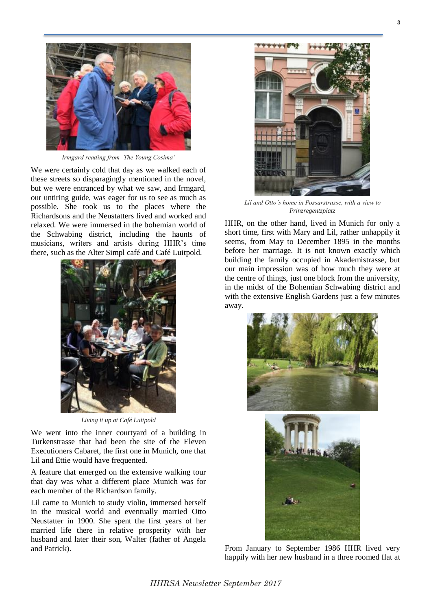

*Irmgard reading from 'The Young Cosima'*

We were certainly cold that day as we walked each of these streets so disparagingly mentioned in the novel, but we were entranced by what we saw, and Irmgard, our untiring guide, was eager for us to see as much as possible. She took us to the places where the Richardsons and the Neustatters lived and worked and relaxed. We were immersed in the bohemian world of the Schwabing district, including the haunts of musicians, writers and artists during HHR's time there, such as the Alter Simpl café and Café Luitpold.



*Living it up at Café Luitpold*

We went into the inner courty and of a building in Turkenstrasse that had been the site of the Eleven Executioners Cabaret, the first one in Munich, one that Lil and Ettie would have frequented.

A feature that emerged on the extensive walking tour that day was what a different place Munich was for each member of the Richardson family.

Lil came to Munich to study violin, immersed herself in the musical world and eventually married Otto Neustatter in 1900. She spent the first years of her married life there in relative prosperity with her husband and later their son, Walter (father of Angela and Patrick).



*Lil and Otto's home in Possarstrasse, with a view to Prinzregentzplatz*

HHR, on the other hand, lived in Munich for only a short time, first with Mary and Lil, rather unhappily it seems, from May to December 1895 in the months before her marriage. It is not known exactly which building the family occupied in Akademistrasse, but our main impression was of how much they were at the centre of things, just one block from the university, in the midst of the Bohemian Schwabing district and with the extensive English Gardens just a few minutes away.



From January to September 1986 HHR lived very happily with her new husband in a three roomed flat at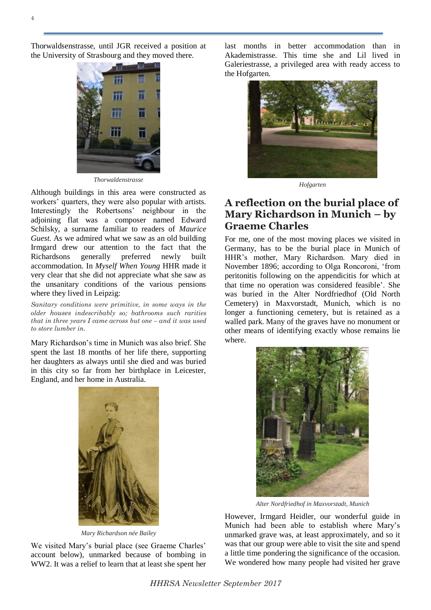4

Thorwaldsenstrasse, until JGR received a position at the University of Strasbourg and they moved there.



*Thorwaldenstrasse*

Although buildings in this area were constructed as workers' quarters, they were also popular with artists. Interestingly the Robertsons' neighbour in the adjoining flat was a composer named Edward Schilsky, a surname familiar to readers of *Maurice Guest.* As we admired what we saw as an old building Irmgard drew our attention to the fact that the Richardsons generally preferred newly built accommodation. In *Myself When Young* HHR made it very clear that she did not appreciate what she saw as the unsanitary conditions of the various pensions where they lived in Leipzig:

*Sanitary conditions were primitive, in some ways in the older houses indescribably so; bathrooms such rarities that in three years I came across but one – and it was used to store lumber in.*

Mary Richardson's time in Munich was also brief. She spent the last 18 months of her life there, supporting her daughters as always until she died and was buried in this city so far from her birthplace in Leicester, England, and her home in Australia.



*Mary Richardson née Bailey*

We visited Mary's burial place (see Graeme Charles' account below), unmarked because of bombing in WW2. It was a relief to learn that at least she spent her

last months in better accommodation than in Akademistrasse. This time she and Lil lived in Galeriestrasse, a privileged area with ready access to the Hofgarten.



*Hofgarten*

#### **A reflection on the burial place of Mary Richardson in Munich – by Graeme Charles**

For me, one of the most moving places we visited in Germany, has to be the burial place in Munich of HHR's mother, Mary Richardson. Mary died in November 1896; according to Olga Roncoroni, 'from peritonitis following on the appendicitis for which at that time no operation was considered feasible'. She was buried in the Alter Nordfriedhof (Old North Cemetery) in Maxvorstadt, Munich, which is no longer a functioning cemetery, but is retained as a walled park. Many of the graves have no monument or other means of identifying exactly whose remains lie where.



*Alter Nordfriedhof in Maxvorstadt, Munich*

However, Irmgard Heidler, our wonderful guide in Munich had been able to establish where Mary's unmarked grave was, at least approximately, and so it was that our group were able to visit the site and spend a little time pondering the significance of the occasion. We wondered how many people had visited her grave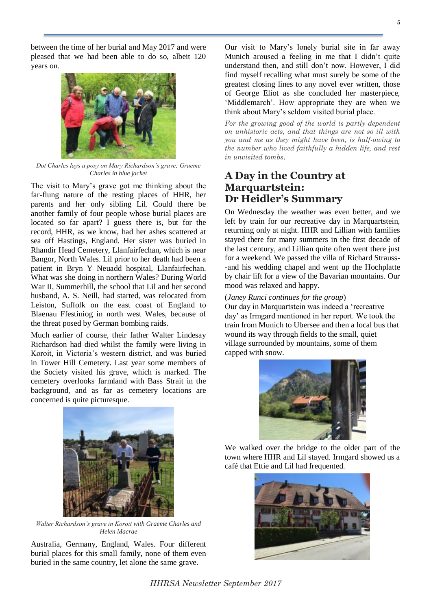between the time of her burial and May 2017 and were pleased that we had been able to do so, albeit 120 years on.

*Dot Charles lays a posy on Mary Richardson's grave; Graeme Charles in blue jacket*

The visit to Mary's grave got me thinking about the far-flung nature of the resting places of HHR, her parents and her only sibling Lil. Could there be another family of four people whose burial places are located so far apart? I guess there is, but for the record, HHR, as we know, had her ashes scattered at sea off Hastings, England. Her sister was buried in Rhandir Head Cemetery, Llanfairfechan, which is near Bangor, North Wales. Lil prior to her death had been a patient in Bryn Y Neuadd hospital, Llanfairfechan. What was she doing in northern Wales? During World War II, Summerhill, the school that Lil and her second husband, A. S. Neill, had started, was relocated from Leiston, Suffolk on the east coast of England to Blaenau Ffestiniog in north west Wales, because of the threat posed by German bombing raids.

Much earlier of course, their father Walter Lindesay Richardson had died whilst the family were living in Koroit, in Victoria's western district, and was buried in Tower Hill Cemetery. Last year some members of the Society visited his grave, which is marked. The cemetery overlooks farmland with Bass Strait in the background, and as far as cemetery locations are concerned is quite picturesque.

Our visit to Mary's lonely burial site in far away Munich aroused a feeling in me that I didn't quite understand then, and still don't now. However, I did find myself recalling what must surely be some of the greatest closing lines to any novel ever written, those of George Eliot as she concluded her masterpiece, 'Middlemarch'. How appropriate they are when we think about Mary's seldom visited burial place.

*For the growing good of the world is partly dependent on unhistoric acts, and that things are not so ill with you and me as they might have been, is half-owing to the number who lived faithfully a hidden life, and rest in unvisited tombs.*

## **A Day in the Country at Marquartstein: Dr Heidler's Summary**

On Wednesday the weather was even better, and we left by train for our recreative day in Marquartstein, returning only at night. HHR and Lillian with families stayed there for many summers in the first decade of the last century, and Lillian quite often went there just for a weekend. We passed the villa of Richard Strauss- -and his wedding chapel and went up the Hochplatte by chair lift for a view of the Bavarian mountains. Our mood was relaxed and happy.

#### (*Janey Runci continues for the group*)

Our day in Marquartstein was indeed a 'recreative day' as Irmgard mentioned in her report. We took the train from Munich to Ubersee and then a local bus that wound its way through fields to the small, quiet village surrounded by mountains, some of them capped with snow.

We walked over the bridge to the older part of the town where HHR and Lil stayed. Irmgard showed us a café that Ettie and Lil had frequented.







*Walter Richardson's grave in Koroit with Graeme Charles and Helen Macrae*

Australia, Germany, England, Wales. Four different burial places for this small family, none of them even buried in the same country, let alone the same grave.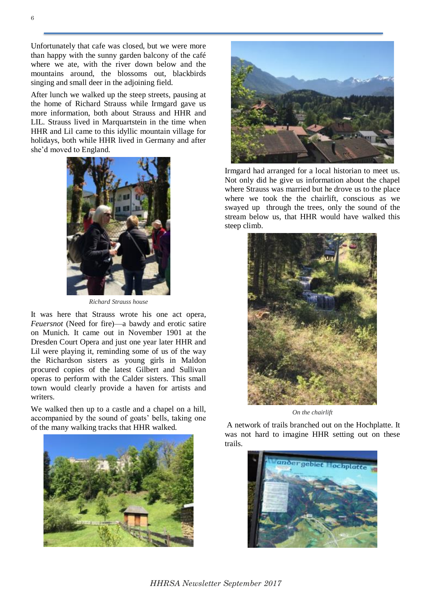Unfortunately that cafe was closed, but we were more than happy with the sunny garden balcony of the café where we ate, with the river down below and the mountains around, the blossoms out, blackbirds singing and small deer in the adjoining field.

After lunch we walked up the steep streets, pausing at the home of Richard Strauss while Irmgard gave us more information, both about Strauss and HHR and LIL. Strauss lived in Marquartstein in the time when HHR and Lil came to this idyllic mountain village for holidays, both while HHR lived in Germany and after she'd moved to England.



*Richard Strauss house* 

It was here that Strauss wrote his one act opera, *Feuersnot* (Need for fire)—a bawdy and erotic satire on Munich. It came out in November 1901 at the Dresden Court Opera and just one year later HHR and Lil were playing it, reminding some of us of the way the Richardson sisters as young girls in Maldon procured copies of the latest Gilbert and Sullivan operas to perform with the Calder sisters. This small town would clearly provide a haven for artists and writers.

We walked then up to a castle and a chapel on a hill, accompanied by the sound of goats' bells, taking one of the many walking tracks that HHR walked.





Irmgard had arranged for a local historian to meet us. Not only did he give us information about the chapel where Strauss was married but he drove us to the place where we took the the chairlift, conscious as we swayed up through the trees, only the sound of the stream below us, that HHR would have walked this steep climb.



*On the chairlift*

A network of trails branched out on the Hochplatte. It was not hard to imagine HHR setting out on these trails.